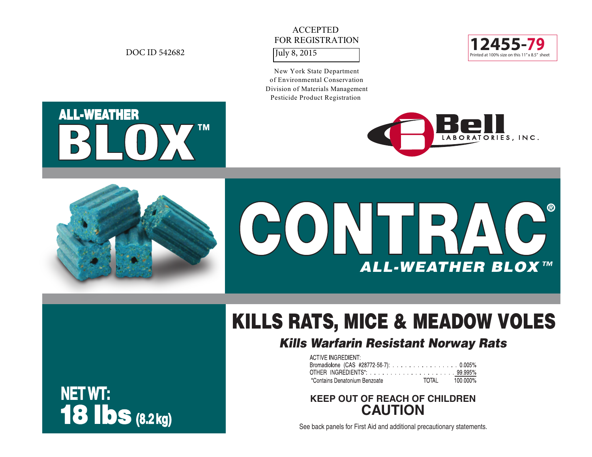# ACCEPTED FOR REGISTRATION

New York State Department of Environmental Conservation Division of Materials Management Pesticide Product Registration











# KILLS RATS, MICE & MEADOW VOLES

# *Kills Warfarin Resistant Norway Rats*

| <b>ACTIVE INGREDIENT:</b>              |                |  |
|----------------------------------------|----------------|--|
| Bromadiolone (CAS #28772-56-7): 0.005% |                |  |
|                                        |                |  |
| *Contains Denatonium Benzoate          | TOTAL 100.000% |  |

# **KEEP OUT OF REACH OF CHILDREN CAUTION**

See back panels for First Aid and additional precautionary statements.

# **NET WT:** 18 lbs **(8.2 kg)**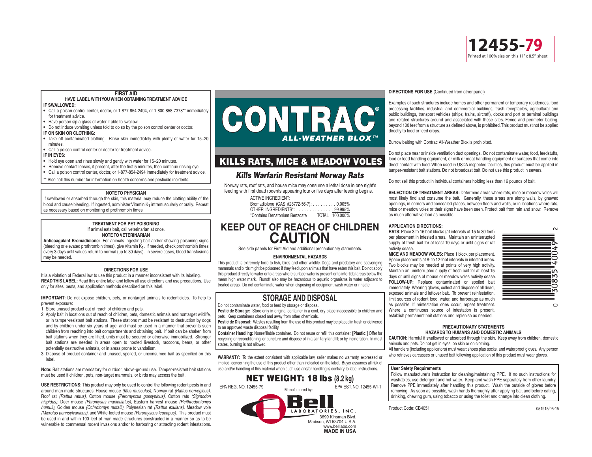

**FIRST AID**

### **HAVE LABEL WITH YOU WHEN OBTAINING TREATMENT ADVICE IF SWALLOWED:**

- Call a poison control center, doctor, or 1-877-854-2494, or 1-800-858-7378\*\* immediately for treatment advice.
- Have person sip a glass of water if able to swallow.
- Do not induce vomiting unless told to do so by the poison control center or doctor. **IF ON SKIN OR CLOTHING:**
- Take off contaminated clothing. Rinse skin immediately with plenty of water for 15−20 minutes
- Call a poison control center or doctor for treatment advice.

### **IF IN EYES:**

- Hold eye open and rinse slowly and gently with water for 15−20 minutes.
- Remove contact lenses, if present, after the first 5 minutes, then continue rinsing eye.
- Call a poison control center, doctor, or 1-877-854-2494 immediately for treatment advice.

\*\* Also call this number for information on health concerns and pesticide incidents.

### **NOTE TO PHYSICIAN**

If swallowed or absorbed through the skin, this material may reduce the clotting ability of the blood and cause bleeding. If ingested, administer Vitamin K<sub>1</sub> intramuscularly or orally. Repeat as necessary based on monitoring of prothrombin times.

### **TREATMENT FOR PET POISONING** If animal eats bait, call veterinarian at once. **NOTE TO VETERINARIAN**

**Anticoagulant Bromadiolone:** For animals ingesting bait and/or showing poisoning signs (bleeding or elevated prothrombin times), give Vitamin  $K_1$ . If needed, check prothrombin times every 3 days until values return to normal (up to 30 days). In severe cases, blood transfusions may be needed.

### **DIRECTIONS FOR USE**

It is a violation of Federal law to use this product in a manner inconsistent with its labeling. **READ THIS LABEL:** Read this entire label and follow all use directions and use precautions. Use only for sites, pests, and application methods described on this label.

**IMPORTANT:** Do not expose children, pets, or nontarget animals to rodenticides. To help to prevent exposure:

- 1. Store unused product out of reach of children and pets.
- 2. Apply bait in locations out of reach of children, pets, domestic animals and nontarget wildlife, or in tamper-resistant bait stations. These stations must be resistant to destruction by dogs and by children under six years of age, and must be used in a manner that prevents such children from reaching into bait compartments and obtaining bait. If bait can be shaken from bait stations when they are lifted, units must be secured or otherwise immobilized. Stronger bait stations are needed in areas open to hoofed livestock, raccoons, bears, or other potentially destructive animals, or in areas prone to vandalism.
- 3. Dispose of product container and unused, spoiled, or unconsumed bait as specified on this lahal

**Note:** Bait stations are mandatory for outdoor, above-ground use. Tamper-resistant bait stations must be used if children, pets, non-target mammals, or birds may access the bait.

**USE RESTRICTIONS:** This product may only be used to control the following rodent pests in and around man-made structures: House mouse *(Mus musculus),* Norway rat *(Rattus norvegicus),* Roof rat *(Rattus rattus),* Cotton mouse *(Peromyscus gossypinus),* Cotton rats *(Sigmodon hispidus),* Deer mouse *(Peromysus maniculatus),* Eastern harvest mouse *(Reithrodontomys humuli),* Golden mouse *(Ochrotomys nuttalli),* Polynesian rat *(Rattus exulans),* Meadow vole *(Microtus pennsylvanicus),* and White-footed mouse *(Peromyscus leucopus).* This product must be used in and within 100 feet of man-made structures constructed in a manner so as to be vulnerable to commensal rodent invasions and/or to harboring or attracting rodent infestations.



### KILLS RATS, MICE & MEADOW VOLES

### *Kills Warfarin Resistant Norway Rats*

Norway rats, roof rats, and house mice may consume a lethal dose in one night's feeding with first dead rodents appearing four or five days after feeding begins.

| <b>ACTIVE INGREDIENT:</b>              |                |
|----------------------------------------|----------------|
| Bromadiolone (CAS #28772-56-7): 0.005% |                |
| OTHER INGREDIENTS*: 99.995%            |                |
| *Contains Denatonium Benzoate          | TOTAL 100,000% |

# **KEEP OUT OF REACH OF CHILDREN CAUTION**

See side panels for First Aid and additional precautionary statements.

### **ENVIRONMENTAL HAZARDS**

This product is extremely toxic to fish, birds and other wildlife. Dogs and predatory and scavenging mammals and birds might be poisoned if they feed upon animals that have eaten this bait. Do not apply this product directly to water or to areas where surface water is present or to intertidal areas below the mean high water mark. Runoff also may be hazardous to aquatic organisms in water adjacent to treated areas. Do not contaminate water when disposing of equipment wash water or rinsate.

### **STORAGE AND DISPOSAL**

Do not contaminate water, food or feed by storage or disposal.

**Pesticide Storage:** Store only in original container in a cool, dry place inaccessible to children and pets. Keep containers closed and away from other chemicals.

**Pesticide Disposal:** Wastes resulting from the use of this product may be placed in trash or delivered to an approved waste disposal facility.

**Container Handling:** Nonrefillable container. Do not reuse or refill this container. **[Plastic:]** Offer for recycling or reconditioning; or puncture and dispose of in a sanitary landfill; or by incineration. In most states, burning is not allowed.

**WARRANTY:** To the extent consistent with applicable law, seller makes no warranty, expressed or implied, concerning the use of this product other than indicated on the label. Buyer assumes all risk of use and/or handling of this material when such use and/or handling is contrary to label instructions.



### **DIRECTIONS FOR USE** (Continued from other panel)

Examples of such structures include homes and other permanent or temporary residences, food processing facilities, industrial and commercial buildings, trash receptacles, agricultural and public buildings, transport vehicles (ships, trains, aircraft), docks and port or terminal buildings and related structures around and associated with these sites. Fence and perimeter baiting, beyond 100 feet from a structure as defined above, is prohibited. This product must not be applied directly to food or feed crops.

Burrow baiting with Contrac All-Weather Blox is prohibited.

Do not place near or inside ventilation duct openings. Do not contaminate water, food, feedstuffs, food or feed handling equipment, or milk or meat handling equipment or surfaces that come into direct contact with food. When used in USDA inspected facilities, this product must be applied in tamper-resistant bait stations. Do not broadcast bait. Do not use this product in sewers.

Do not sell this product in individual containers holding less than 16 pounds of bait.

**SELECTION OF TREATMENT AREAS:** Determine areas where rats, mice or meadow voles will most likely find and consume the bait. Generally, these areas are along walls, by gnawed openings, in corners and concealed places, between floors and walls, or in locations where rats, mice or meadow voles or their signs have been seen. Protect bait from rain and snow. Remove as much alternative food as possible.

### **APPLICATION DIRECTIONS:**

**RATS**: Place 3 to 16 bait blocks (at intervals of 15 to 30 feet) per placement in infested areas. Maintain an uninterrupted supply of fresh bait for at least 10 days or until signs of rat activity cease.

**MICE AND MEADOW VOLES:** Place 1 block per placement. Space placements at 8- to 12-foot intervals in infested areas. Two blocks may be needed at points of very high activity. Maintain an uninterrupted supply of fresh bait for at least 15 days or until signs of mouse or meadow voles activity cease. **FOLLOW-UP:** Replace contaminated or spoiled bait immediately. Wearing gloves, collect and dispose of all dead, exposed animals and leftover bait. To prevent reinfestation, limit sources of rodent food, water, and harborage as much as possible. If reinfestation does occur, repeat treatment. Where a continuous source of infestation is present, establish permanent bait stations and replenish as needed.



### **PRECAUTIONARY STATEMENTS HAZARDS TO HUMANS AND DOMESTIC ANIMALS**

**CAUTION:** Harmful if swallowed or absorbed through the skin. Keep away from children, domestic animals and pets. Do not get in eyes, on skin or on clothing.

All handlers (including applicators) must wear: shoes plus socks, and waterproof gloves. Any person who retrieves carcasses or unused bait following application of this product must wear gloves.

### **User Safety Requirements**

Follow manufacturer's instruction for cleaning/maintaining PPE. If no such instructions for washables, use detergent and hot water. Keep and wash PPE separately from other laundry. Remove PPE immediately after handling this product. Wash the outside of gloves before removing. As soon as possible, wash hands thoroughly after applying bait and before eating, drinking, chewing gum, using tobacco or using the toilet and change into clean clothing.

Product Code: CB4051 051915/05-15

# NET WEIGHT: 18 lbs **(8.2 kg)**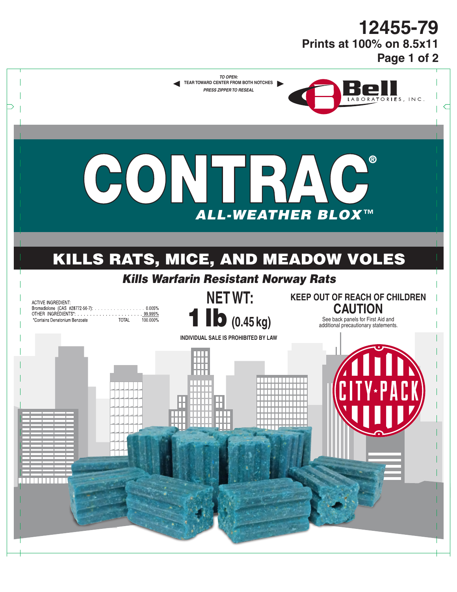